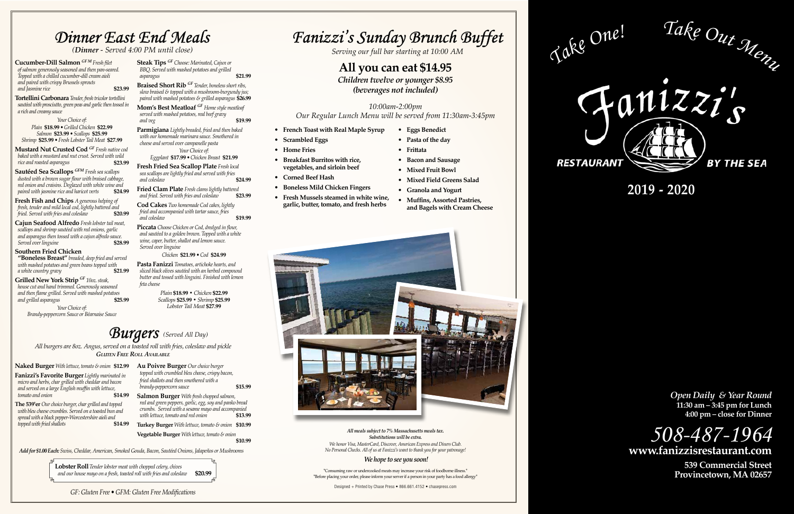# *Fanizzi's Sunday Brunch Buffet*

**2019 - 2020**

### *Dinner East End Meals*

**Fanizzi's Favorite Burger** *Lightly marinated in micro and herbs, char grilled with cheddar and bacon and served on a large English muffin with lettuce,*   $tomato$  *and onion* 



**Naked Burger** *With lettuce, tomato & onion* **\$12.99**

**The 539'er** *Our choice burger, char grilled and topped with bleu cheese crumbles. Served on a toasted bun and spread with a black pepper-Worcestershire aioli and*   $t$ opped with fried shallots

**Au Poivre Burger** *Our choice burger topped with crumbled bleu cheese, crispy bacon, fried shallots and then smothered with a brandy-peppercorn sauce* **\$15.99**

**Salmon Burger** *With fresh chopped salmon, red and green peppers, garlic, egg, soy and panko bread crumbs. Served with a sesame mayo and accompanied with lettuce, tomato and red onion* **\$13.99**

**Turkey Burger** *With lettuce, tomato & onion* **\$10.99 Vegetable Burger** *With lettuce, tomato & onion*

**\$10.99**

*Serving our full bar starting at 10:00 AM*

### **All you can eat \$14.95**

*Children twelve or younger \$8.95 (beverages not included)*

### *10:00am-2:00pm Our Regular Lunch Menu will be served from 11:30am-3:45pm*

- **French Toast with Real Maple Syrup**
- **Scrambled Eggs**
- **Home Fries**
- **Breakfast Burritos with rice, vegetables, and sirloin beef**
- **Corned Beef Hash**
- **Boneless Mild Chicken Fingers**
- **Fresh Mussels steamed in white wine, garlic, butter, tomato, and fresh herbs**

**Mustard Nut Crusted Cod** *GF Fresh native cod baked with a mustard and nut crust. Served with wild rice and roasted asparagus* 

- **Eggs Benedict**
- **Pasta of the day**
	- **Frittata**
	- **Bacon and Sausage**
	- **Mixed Fruit Bowl**
	- **Mixed Field Greens Salad**
- **Granola and Yogurt**
- **Muffins, Assorted Pastries, and Bagels with Cream Cheese**



*All meals subject to 7% Massachusetts meals tax. Substitutions will be extra.*

**Cajun Seafood Alfredo** *Fresh lobster tail meat, scallops and shrimp sautéed with red onions, garlic and asparagus then tossed with a cajun alfredo sauce.*  **Served over linguine** 

> *We honor Visa, MasterCard, Discover, American Express and Diners Club. No Personal Checks. All of us at Fanizzi's want to thank you for your patronage!*

### *We hope to see you soon!*

\*Consuming raw or undercooked meats may increase your risk of foodborne illness.\*<br>\*Before placing your order, please inform your server if a person in your party has a food allergy\*<br>**Example of the consumers of the consume** 

*Open Daily & Year Round* **11:30 am – 3:45 pm for Lunch 4:00 pm – close for Dinner**



**539 Commercial Street**

**Mom's Best Meatloaf** *GF Home style meatloaf served with mashed potatoes, real beef gravy and veg* **\$19.99** 

Designed + Printed by Chase Press • 866.661.4152 • chasepress.com



 *(Dinner - Served 4:00 PM until close)*

**Fried Clam Plate** *Fresh clams lightly battered* and *fried.* Served with *fries and coleslaw* \$23.99 *and fried. Served with fries and coleslaw* **\$23.99**

**Cod Cakes** *Two homemade Cod cakes, lightly fried and accompanied with tartar sauce, fries*  and coleslaw **b \$19.99** 

*All burgers are 8oz. Angus, served on a toasted roll with fries, coleslaw and pickle Gluten Free Roll Available*

**Cucumber-Dill Salmon** *GF M Fresh filet of salmon generously seasoned and then pan-seared. Topped with a chilled cucumber-dill cream aioli and paired with crispy Brussels sprouts and Jasmine rice* **\$23.99**

**Tortellini Carbonara** *Tender, fresh tricolor tortellini sautéed with prosciutto, green peas and garlic then tossed in a rich and creamy sauce* 

*Your Choice of: Plain* **\$18.99** *• Grilled Chicken* **\$22.99** *Salmon* **\$23.99** *• Scallops* **\$25.99** *Shrimp* **\$25.99** *• Fresh Lobster Tail Meat* **\$27.99**

**Sautéed Sea Scallops** *GFM Fresh sea scallops dusted with a brown sugar flour with braised cabbage, red onion and craisins. Deglazed with white wine and paired with jasmine rice and haricot verts* **\$24.99**

**Fresh Fish and Chips** *A generous helping of fresh, tender and mild local cod, lightly battered and fried. Served with fries and coleslaw* **\$20.99**

#### **Southern Fried Chicken**

**"Boneless Breast"** *breaded, deep fried and served with mashed potatoes and green beans topped with a white country gravy* **\$21.99**

**Grilled New York Strip** *GF 10oz. steak, house cut and hand trimmed. Generously seasoned and then flame grilled. Served with mashed potatoes*   $and$  grilled asparagus *Your Choice of:*

# *Burgers (Served All Day)*

*Brandy-peppercorn Sauce or Béarnaise Sauce*

**Steak Tips** *GF Choose: Marinated, Cajun or BBQ. Served with mashed potatoes and grilled asparagus* **\$21.99**

**Braised Short Rib** *GF Tender, boneless short ribs, slow braised & topped with a mushroom-burgundy jus; paired with mashed potatoes & grilled asparagus* **\$26.99**

**Parmigiana** *Lightly breaded, fried and then baked with our homemade marinara sauce. Smothered in cheese and served over campanelle pasta Your Choice of:*

*Eggplant* **\$17.99** *• Chicken Breast* **\$21.99**

**Fresh Fried Sea Scallop Plate** *Fresh local sea scallops are lightly fried and served with fries and coleslaw* **\$24.99**

**Piccata** *Choose Chicken or Cod, dredged in flour, and sautéed to a golden brown. Topped with a white wine, caper, butter, shallot and lemon sauce. Served over linguine*

*Chicken* **\$21.99** *• Cod* **\$24.99**

**Pasta Fanizzi** *Tomatoes, artichoke hearts, and sliced black olives sautéed with an herbed compound butter and tossed with linguini. Finished with lemon feta cheese*

> *Plain* **\$18.99** *• Chicken* **\$22.99** *Scallops* **\$25.99** *• Shrimp* **\$25.99** *Lobster Tail Meat* **\$27.99**

*GF: Gluten Free • GFM: Gluten Free Modifications*

*Add for \$1.00 Each: Swiss, Cheddar, American, Smoked Gouda, Bacon, Sautéed Onions, Jalapeños or Mushrooms*

**Lobster Roll** *Tender lobster meat with chopped celery, chives and our house mayo on a fresh, toasted roll with fries and coleslaw* **\$20.99**